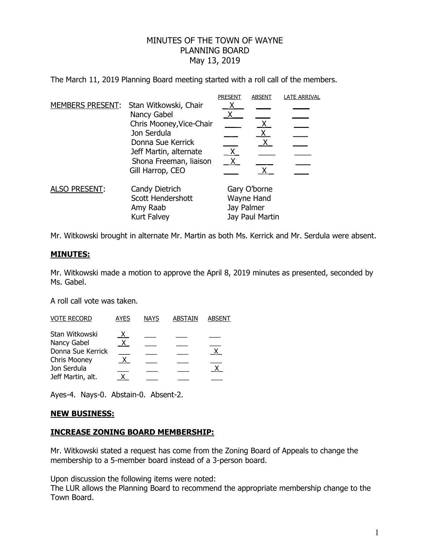# MINUTES OF THE TOWN OF WAYNE PLANNING BOARD May 13, 2019

The March 11, 2019 Planning Board meeting started with a roll call of the members.

|                      |                                                                                                      | <b>PRESENT</b>                                              | <b>ABSENT</b>                | <b>LATE ARRIVAL</b> |
|----------------------|------------------------------------------------------------------------------------------------------|-------------------------------------------------------------|------------------------------|---------------------|
| MEMBERS PRESENT:     | Stan Witkowski, Chair<br>Nancy Gabel<br>Chris Mooney, Vice-Chair<br>Jon Serdula<br>Donna Sue Kerrick |                                                             | <u>X </u><br>$\underline{X}$ |                     |
|                      | Jeff Martin, alternate<br>Shona Freeman, liaison<br>Gill Harrop, CEO                                 | X.<br>X.                                                    |                              |                     |
| <b>ALSO PRESENT:</b> | Candy Dietrich<br>Scott Hendershott<br>Amy Raab<br>Kurt Falvey                                       | Gary O'borne<br>Wayne Hand<br>Jay Palmer<br>Jay Paul Martin |                              |                     |

Mr. Witkowski brought in alternate Mr. Martin as both Ms. Kerrick and Mr. Serdula were absent.

### **MINUTES:**

Mr. Witkowski made a motion to approve the April 8, 2019 minutes as presented, seconded by Ms. Gabel.

A roll call vote was taken.

| <b>VOTE RECORD</b>  | <b>AYES</b>  | <b>NAYS</b> | ABSTAIN | <b>ABSENT</b> |
|---------------------|--------------|-------------|---------|---------------|
| Stan Witkowski      |              |             |         |               |
| Nancy Gabel         | $\mathsf{X}$ |             |         |               |
| Donna Sue Kerrick   |              |             |         |               |
| <b>Chris Mooney</b> |              |             |         |               |
| Jon Serdula         |              |             |         |               |
| Jeff Martin, alt.   |              |             |         |               |
|                     |              |             |         |               |

Ayes-4. Nays-0. Abstain-0. Absent-2.

### **NEW BUSINESS:**

### **INCREASE ZONING BOARD MEMBERSHIP:**

Mr. Witkowski stated a request has come from the Zoning Board of Appeals to change the membership to a 5-member board instead of a 3-person board.

Upon discussion the following items were noted:

The LUR allows the Planning Board to recommend the appropriate membership change to the Town Board.